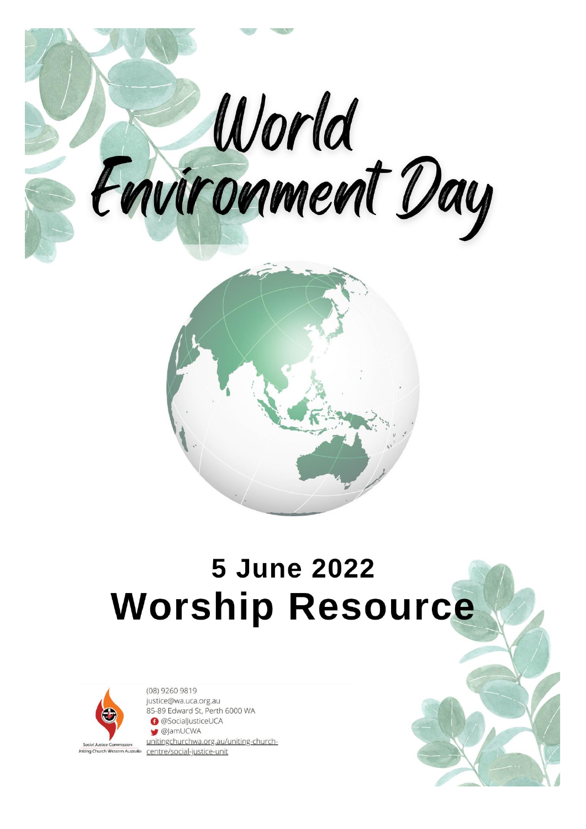

# **5 June 2022 Worship Resource**



(08) 9260 9819 justice@wa.uca.org.au 85-89 Edward St, Perth 6000 WA **@SocialJusticeUCA** S @JamUCWA unitingchurchwa.org.au/uniting-church-Jniting Church Western Australia centre/social-justice-unit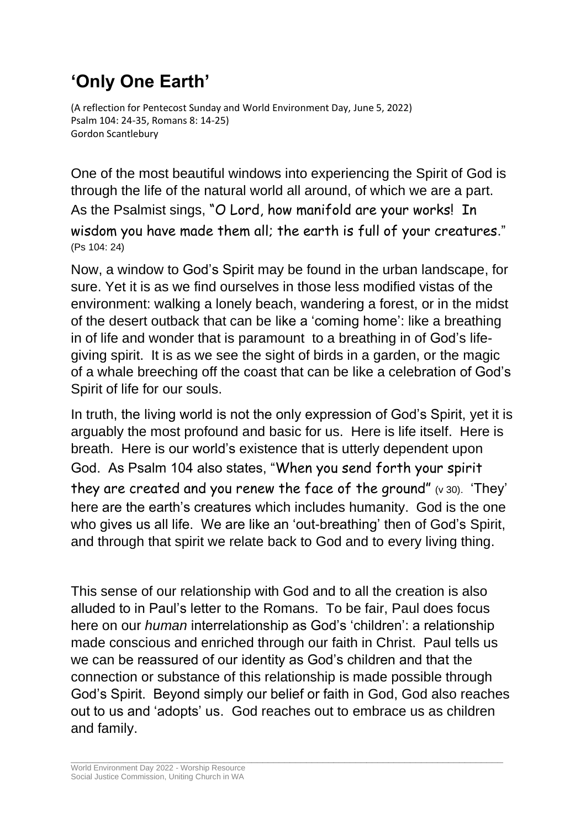# **'Only One Earth'**

(A reflection for Pentecost Sunday and World Environment Day, June 5, 2022) Psalm 104: 24-35, Romans 8: 14-25) Gordon Scantlebury

One of the most beautiful windows into experiencing the Spirit of God is through the life of the natural world all around, of which we are a part. As the Psalmist sings, "O Lord, how manifold are your works! In wisdom you have made them all; the earth is full of your creatures." (Ps 104: 24)

Now, a window to God's Spirit may be found in the urban landscape, for sure. Yet it is as we find ourselves in those less modified vistas of the environment: walking a lonely beach, wandering a forest, or in the midst of the desert outback that can be like a 'coming home': like a breathing in of life and wonder that is paramount to a breathing in of God's lifegiving spirit. It is as we see the sight of birds in a garden, or the magic of a whale breeching off the coast that can be like a celebration of God's Spirit of life for our souls.

In truth, the living world is not the only expression of God's Spirit, yet it is arguably the most profound and basic for us. Here is life itself. Here is breath. Here is our world's existence that is utterly dependent upon God. As Psalm 104 also states, "When you send forth your spirit they are created and you renew the face of the ground" (v 30). 'They' here are the earth's creatures which includes humanity. God is the one who gives us all life. We are like an 'out-breathing' then of God's Spirit, and through that spirit we relate back to God and to every living thing.

This sense of our relationship with God and to all the creation is also alluded to in Paul's letter to the Romans. To be fair, Paul does focus here on our *human* interrelationship as God's 'children': a relationship made conscious and enriched through our faith in Christ. Paul tells us we can be reassured of our identity as God's children and that the connection or substance of this relationship is made possible through God's Spirit. Beyond simply our belief or faith in God, God also reaches out to us and 'adopts' us. God reaches out to embrace us as children and family.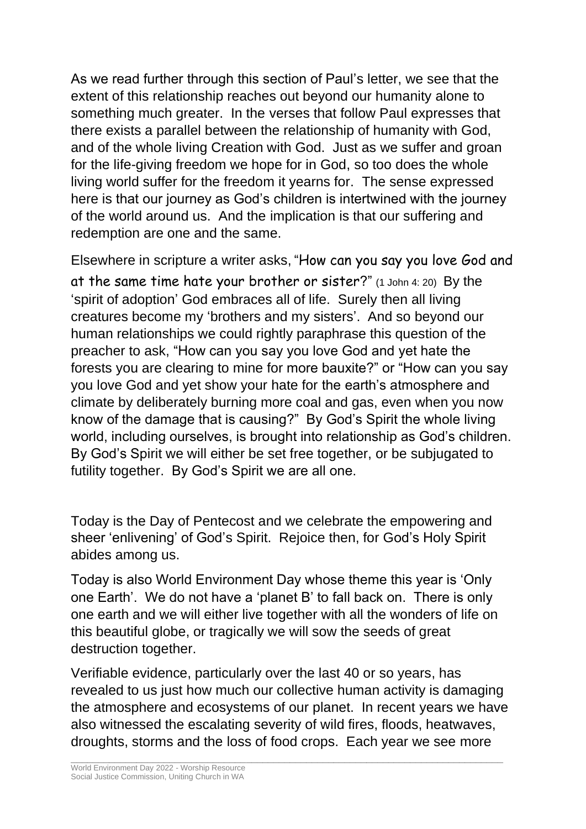As we read further through this section of Paul's letter, we see that the extent of this relationship reaches out beyond our humanity alone to something much greater. In the verses that follow Paul expresses that there exists a parallel between the relationship of humanity with God, and of the whole living Creation with God. Just as we suffer and groan for the life-giving freedom we hope for in God, so too does the whole living world suffer for the freedom it yearns for. The sense expressed here is that our journey as God's children is intertwined with the journey of the world around us. And the implication is that our suffering and redemption are one and the same.

Elsewhere in scripture a writer asks, "How can you say you love God and at the same time hate your brother or sister?" (1 John 4: 20) By the 'spirit of adoption' God embraces all of life. Surely then all living creatures become my 'brothers and my sisters'. And so beyond our human relationships we could rightly paraphrase this question of the preacher to ask, "How can you say you love God and yet hate the forests you are clearing to mine for more bauxite?" or "How can you say you love God and yet show your hate for the earth's atmosphere and climate by deliberately burning more coal and gas, even when you now know of the damage that is causing?" By God's Spirit the whole living world, including ourselves, is brought into relationship as God's children. By God's Spirit we will either be set free together, or be subjugated to futility together. By God's Spirit we are all one.

Today is the Day of Pentecost and we celebrate the empowering and sheer 'enlivening' of God's Spirit. Rejoice then, for God's Holy Spirit abides among us.

Today is also World Environment Day whose theme this year is 'Only one Earth'. We do not have a 'planet B' to fall back on. There is only one earth and we will either live together with all the wonders of life on this beautiful globe, or tragically we will sow the seeds of great destruction together.

Verifiable evidence, particularly over the last 40 or so years, has revealed to us just how much our collective human activity is damaging the atmosphere and ecosystems of our planet. In recent years we have also witnessed the escalating severity of wild fires, floods, heatwaves, droughts, storms and the loss of food crops. Each year we see more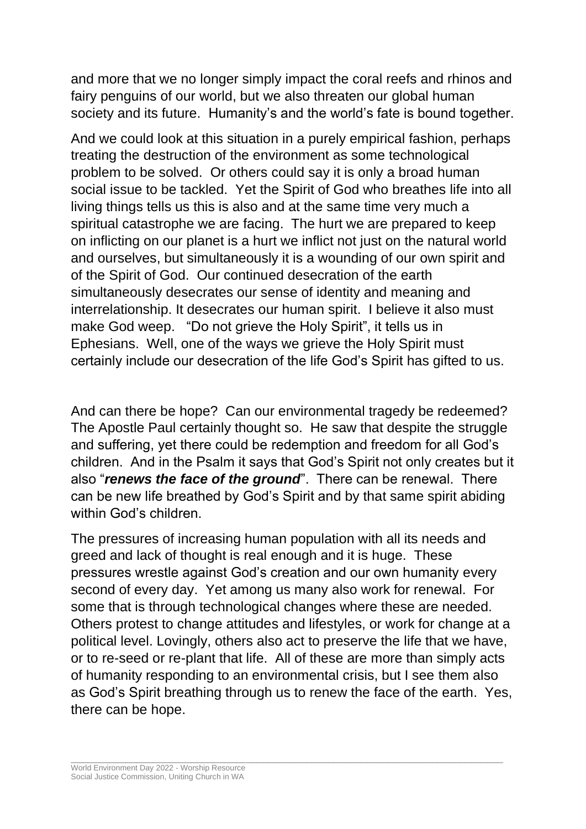and more that we no longer simply impact the coral reefs and rhinos and fairy penguins of our world, but we also threaten our global human society and its future. Humanity's and the world's fate is bound together.

And we could look at this situation in a purely empirical fashion, perhaps treating the destruction of the environment as some technological problem to be solved. Or others could say it is only a broad human social issue to be tackled. Yet the Spirit of God who breathes life into all living things tells us this is also and at the same time very much a spiritual catastrophe we are facing. The hurt we are prepared to keep on inflicting on our planet is a hurt we inflict not just on the natural world and ourselves, but simultaneously it is a wounding of our own spirit and of the Spirit of God. Our continued desecration of the earth simultaneously desecrates our sense of identity and meaning and interrelationship. It desecrates our human spirit. I believe it also must make God weep. "Do not grieve the Holy Spirit", it tells us in Ephesians. Well, one of the ways we grieve the Holy Spirit must certainly include our desecration of the life God's Spirit has gifted to us.

And can there be hope? Can our environmental tragedy be redeemed? The Apostle Paul certainly thought so. He saw that despite the struggle and suffering, yet there could be redemption and freedom for all God's children. And in the Psalm it says that God's Spirit not only creates but it also "*renews the face of the ground*". There can be renewal. There can be new life breathed by God's Spirit and by that same spirit abiding within God's children.

The pressures of increasing human population with all its needs and greed and lack of thought is real enough and it is huge. These pressures wrestle against God's creation and our own humanity every second of every day. Yet among us many also work for renewal. For some that is through technological changes where these are needed. Others protest to change attitudes and lifestyles, or work for change at a political level. Lovingly, others also act to preserve the life that we have, or to re-seed or re-plant that life. All of these are more than simply acts of humanity responding to an environmental crisis, but I see them also as God's Spirit breathing through us to renew the face of the earth. Yes, there can be hope.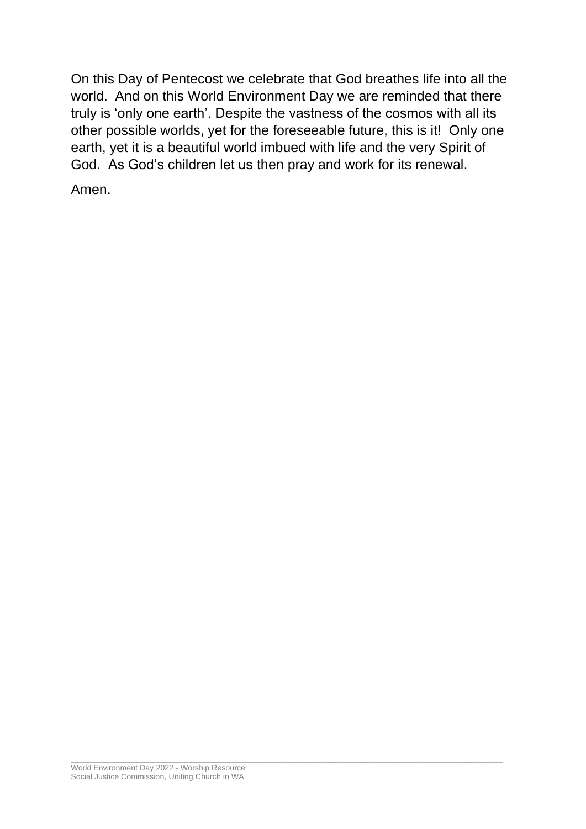On this Day of Pentecost we celebrate that God breathes life into all the world. And on this World Environment Day we are reminded that there truly is 'only one earth'. Despite the vastness of the cosmos with all its other possible worlds, yet for the foreseeable future, this is it! Only one earth, yet it is a beautiful world imbued with life and the very Spirit of God. As God's children let us then pray and work for its renewal.

\_\_\_\_\_\_\_\_\_\_\_\_\_\_\_\_\_\_\_\_\_\_\_\_\_\_\_\_\_\_\_\_\_\_\_\_\_\_\_\_\_\_\_\_\_\_\_\_\_\_\_\_\_\_\_\_\_\_\_\_\_\_\_\_\_\_\_\_\_\_\_\_\_\_\_\_\_\_\_

Amen.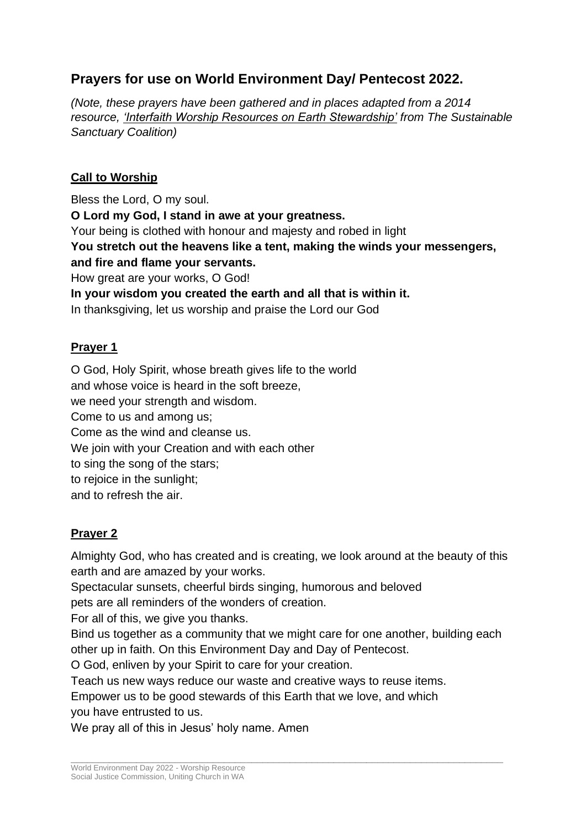## **Prayers for use on World Environment Day/ Pentecost 2022.**

*(Note, these prayers have been gathered and in places adapted from a 2014 resource, 'Interfaith Worship Resources on Earth Stewardship' from The Sustainable Sanctuary Coalition)*

#### **Call to Worship**

Bless the Lord, O my soul. **O Lord my God, I stand in awe at your greatness.** Your being is clothed with honour and majesty and robed in light **You stretch out the heavens like a tent, making the winds your messengers, and fire and flame your servants.** How great are your works, O God! **In your wisdom you created the earth and all that is within it.** In thanksgiving, let us worship and praise the Lord our God

#### **Prayer 1**

O God, Holy Spirit, whose breath gives life to the world and whose voice is heard in the soft breeze, we need your strength and wisdom. Come to us and among us; Come as the wind and cleanse us. We join with your Creation and with each other to sing the song of the stars; to rejoice in the sunlight; and to refresh the air.

### **Prayer 2**

Almighty God, who has created and is creating, we look around at the beauty of this earth and are amazed by your works.

Spectacular sunsets, cheerful birds singing, humorous and beloved

pets are all reminders of the wonders of creation.

For all of this, we give you thanks.

Bind us together as a community that we might care for one another, building each other up in faith. On this Environment Day and Day of Pentecost.

\_\_\_\_\_\_\_\_\_\_\_\_\_\_\_\_\_\_\_\_\_\_\_\_\_\_\_\_\_\_\_\_\_\_\_\_\_\_\_\_\_\_\_\_\_\_\_\_\_\_\_\_\_\_\_\_\_\_\_\_\_\_\_\_\_\_\_\_\_\_\_\_\_\_\_\_\_\_\_

O God, enliven by your Spirit to care for your creation.

Teach us new ways reduce our waste and creative ways to reuse items.

Empower us to be good stewards of this Earth that we love, and which you have entrusted to us.

We pray all of this in Jesus' holy name. Amen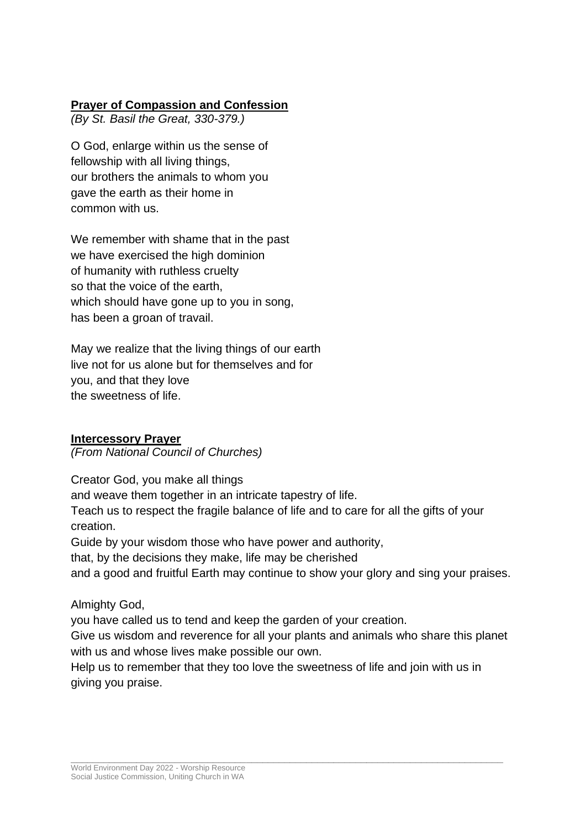#### **Prayer of Compassion and Confession**

*(By St. Basil the Great, 330-379.)*

O God, enlarge within us the sense of fellowship with all living things, our brothers the animals to whom you gave the earth as their home in common with us.

We remember with shame that in the past we have exercised the high dominion of humanity with ruthless cruelty so that the voice of the earth, which should have gone up to you in song, has been a groan of travail.

May we realize that the living things of our earth live not for us alone but for themselves and for you, and that they love the sweetness of life.

#### **Intercessory Prayer**

*(From National Council of Churches)*

Creator God, you make all things and weave them together in an intricate tapestry of life. Teach us to respect the fragile balance of life and to care for all the gifts of your creation. Guide by your wisdom those who have power and authority,

that, by the decisions they make, life may be cherished

and a good and fruitful Earth may continue to show your glory and sing your praises.

#### Almighty God,

you have called us to tend and keep the garden of your creation.

Give us wisdom and reverence for all your plants and animals who share this planet with us and whose lives make possible our own.

Help us to remember that they too love the sweetness of life and join with us in giving you praise.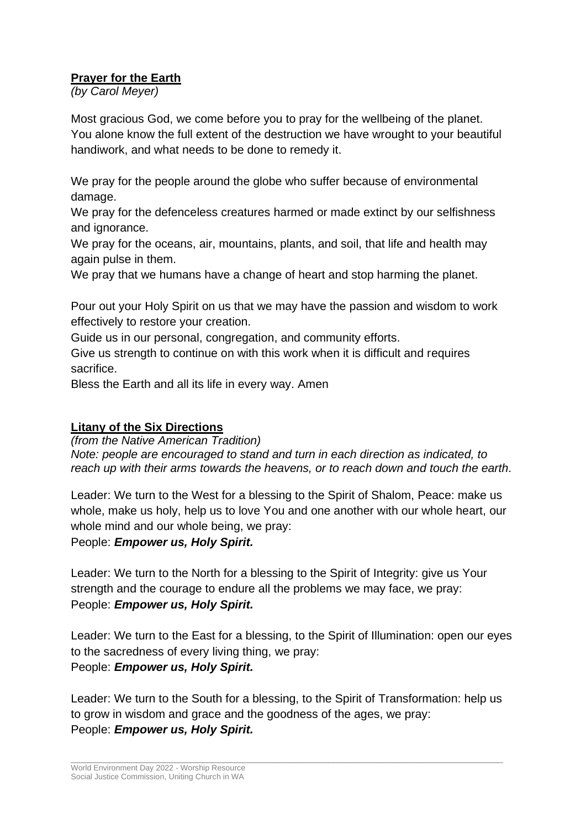#### **Prayer for the Earth**

*(by Carol Meyer)*

Most gracious God, we come before you to pray for the wellbeing of the planet. You alone know the full extent of the destruction we have wrought to your beautiful handiwork, and what needs to be done to remedy it.

We pray for the people around the globe who suffer because of environmental damage.

We pray for the defenceless creatures harmed or made extinct by our selfishness and ignorance.

We pray for the oceans, air, mountains, plants, and soil, that life and health may again pulse in them.

We pray that we humans have a change of heart and stop harming the planet.

Pour out your Holy Spirit on us that we may have the passion and wisdom to work effectively to restore your creation.

Guide us in our personal, congregation, and community efforts.

Give us strength to continue on with this work when it is difficult and requires sacrifice.

Bless the Earth and all its life in every way. Amen

#### **Litany of the Six Directions**

*(from the Native American Tradition) Note: people are encouraged to stand and turn in each direction as indicated, to reach up with their arms towards the heavens, or to reach down and touch the earth.*

Leader: We turn to the West for a blessing to the Spirit of Shalom, Peace: make us whole, make us holy, help us to love You and one another with our whole heart, our whole mind and our whole being, we pray:

People: *Empower us, Holy Spirit.*

Leader: We turn to the North for a blessing to the Spirit of Integrity: give us Your strength and the courage to endure all the problems we may face, we pray: People: *Empower us, Holy Spirit.*

Leader: We turn to the East for a blessing, to the Spirit of Illumination: open our eyes to the sacredness of every living thing, we pray: People: *Empower us, Holy Spirit.*

Leader: We turn to the South for a blessing, to the Spirit of Transformation: help us to grow in wisdom and grace and the goodness of the ages, we pray: People: *Empower us, Holy Spirit.*